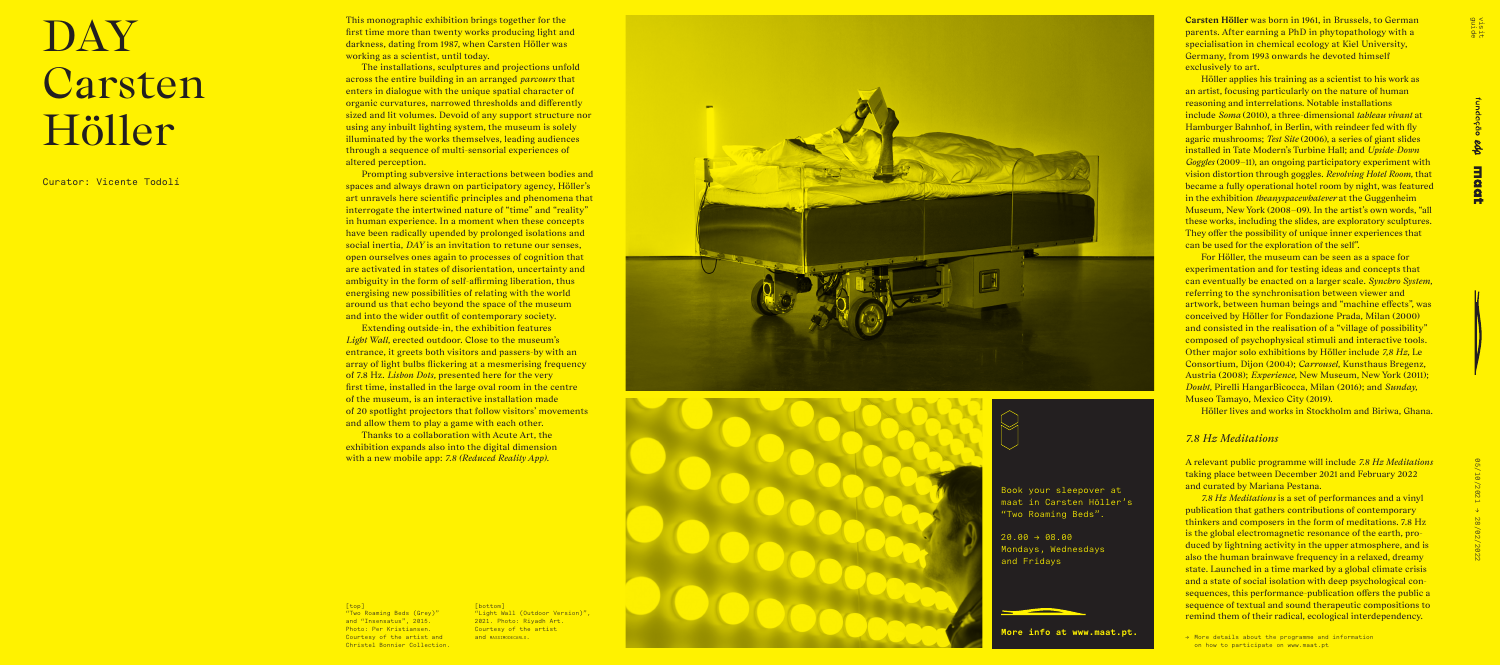





This monographic exhibition brings together for the first time more than twenty works producing light and darkness, dating from 1987, when Carsten Höller was working as a scientist, until today.

The installations, sculptures and projections unfold across the entire building in an arranged *parcours* that enters in dialogue with the unique spatial character of organic curvatures, narrowed thresholds and differently sized and lit volumes. Devoid of any support structure nor using any inbuilt lighting system, the museum is solely illuminated by the works themselves, leading audiences through a sequence of multi-sensorial experiences of altered perception.

Prompting subversive interactions between bodies and spaces and always drawn on participatory agency, Höller's art unravels here scientific principles and phenomena that interrogate the intertwined nature of "time" and "reality" in human experience. In a moment when these concepts have been radically upended by prolonged isolations and social inertia, *DAY* is an invitation to retune our senses, open ourselves ones again to processes of cognition that are activated in states of disorientation, uncertainty and ambiguity in the form of self-affirming liberation, thus energising new possibilities of relating with the world around us that echo beyond the space of the museum and into the wider outfit of contemporary society.

Extending outside-in, the exhibition features *Light Wall,* erected outdoor. Close to the museum's entrance, it greets both visitors and passers-by with an array of light bulbs flickering at a mesmerising frequency of 7.8 Hz. *Lisbon Dots,* presented here for the very first time, installed in the large oval room in the centre of the museum, is an interactive installation made of 20 spotlight projectors that follow visitors' movements and allow them to play a game with each other.

For Höller, the museum can be seen as a space for experimentation and for testing ideas and concepts that can eventually be enacted on a larger scale. *Synchro System,* referring to the synchronisation between viewer and artwork, between human beings and "machine effects", was conceived by Höller for Fondazione Prada, Milan (2000) and consisted in the realisation of a "village of possibility" composed of psychophysical stimuli and interactive tools. Other major solo exhibitions by Höller include *7,8 Hz,* Le Consortium, Dijon (2004); *Carrousel,* Kunsthaus Bregenz, Austria (2008); *Experience,* New Museum, New York (2011); *Doubt,* Pirelli HangarBicocca, Milan (2016); and *Sunday,* Museo Tamayo, Mexico City (2019).

Thanks to a collaboration with Acute Art, the exhibition expands also into the digital dimension with a new mobile app: *7.8 (Reduced Reality App).*



# DAY Carsten Höller

Curator: Vicente Todolí

**Carsten Höller** was born in 1961, in Brussels, to German parents. After earning a PhD in phytopathology with a specialisation in chemical ecology at Kiel University, Germany, from 1993 onwards he devoted himself exclusively to art.

 $20.00 \rightarrow 08.00$ Mondays, Wednesdays and Fridays

Höller applies his training as a scientist to his work as an artist, focusing particularly on the nature of human reasoning and interrelations. Notable installations include *Soma* (2010), a three-dimensional *tableau vivant* at Hamburger Bahnhof, in Berlin, with reindeer fed with fly agaric mushrooms; *Test Site* (2006), a series of giant slides installed in Tate Modern's Turbine Hall; and *Upside-Down Goggles* (2009–11), an ongoing participatory experiment with vision distortion through goggles. *Revolving Hotel Room,* that became a fully operational hotel room by night, was featured in the exhibition *theanyspacewhatever* at the Guggenheim Museum, New York (2008–09). In the artist's own words, "all these works, including the slides, are exploratory sculptures. They offer the possibility of unique inner experiences that can be used for the exploration of the self".

Höller lives and works in Stockholm and Biriwa, Ghana.

## *7.8 Hz Meditations*

A relevant public programme will include *7.8 Hz Meditations* taking place between December 2021 and February 2022 and curated by Mariana Pestana.

*7.8 Hz Meditations* is a set of performances and a vinyl publication that gathers contributions of contemporary thinkers and composers in the form of meditations. 7.8 Hz is the global electromagnetic resonance of the earth, produced by lightning activity in the upper atmosphere, and is also the human brainwave frequency in a relaxed, dreamy state. Launched in a time marked by a global climate crisis and a state of social isolation with deep psychological con sequences, this performance-publication offers the public a sequence of textual and sound therapeutic compositions to remind them of their radical, ecological interdependency.

→ More details about the programme and information on how to participate on www.maat.pt

visit<br>guide

[bottom] "Light Wall (Outdoor Version)", 2021. Photo: Riyadh Art. Courtesy of the artist and MASSTMODECARLO .







[top]

"Two Roaming Beds (Grey)" and "Insensatus", 2015. Photo: Per Kristiansen. Courtesy of the artist and Christel Bonnier Collection. Book your sleepover at maat in Carsten Höller's "Two Roaming Beds".

**More info at www.maat.pt.**